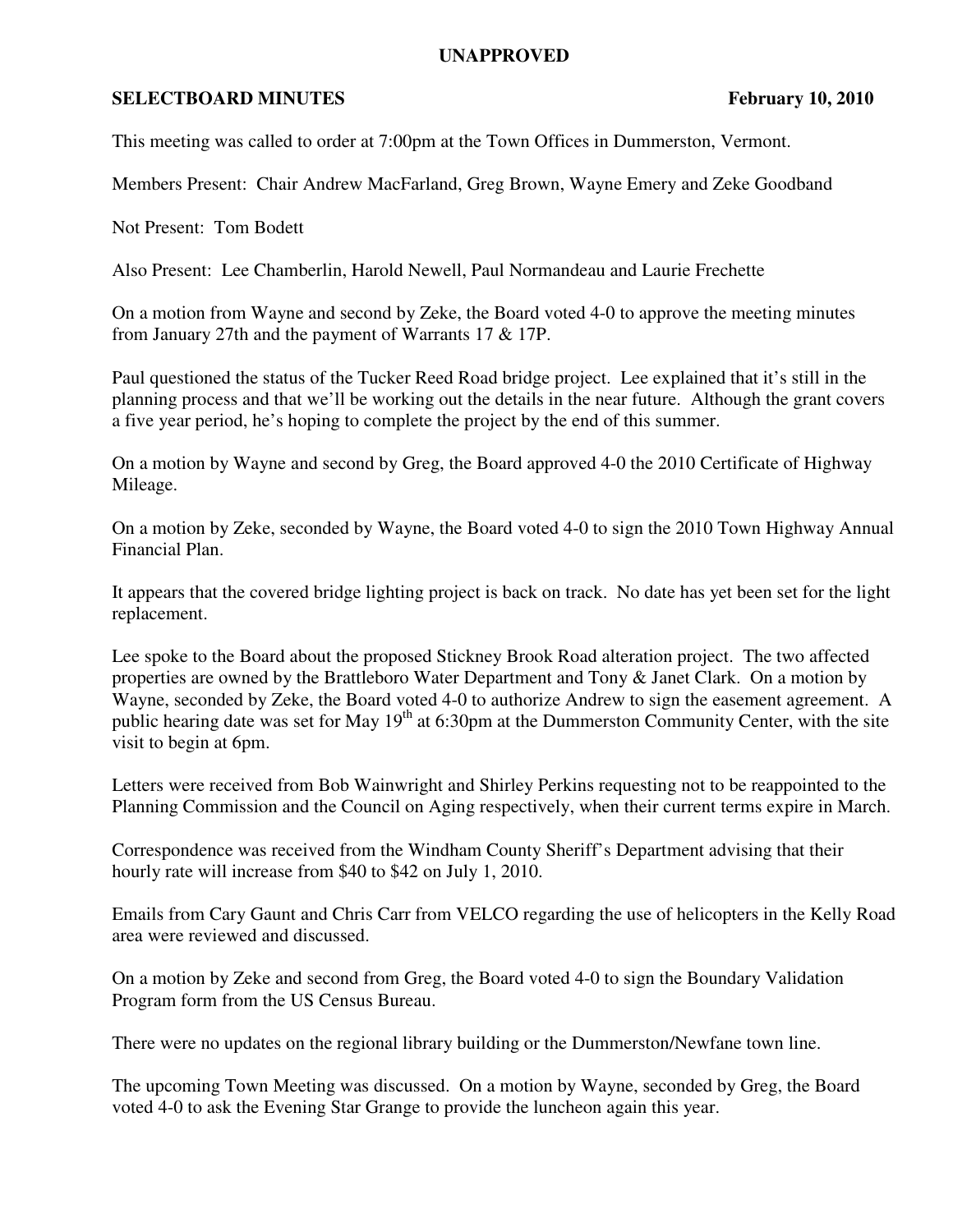## **UNAPPROVED**

## **SELECTBOARD MINUTES** February 10, 2010

This meeting was called to order at 7:00pm at the Town Offices in Dummerston, Vermont.

Members Present: Chair Andrew MacFarland, Greg Brown, Wayne Emery and Zeke Goodband

Not Present: Tom Bodett

Also Present: Lee Chamberlin, Harold Newell, Paul Normandeau and Laurie Frechette

On a motion from Wayne and second by Zeke, the Board voted 4-0 to approve the meeting minutes from January 27th and the payment of Warrants 17 & 17P.

Paul questioned the status of the Tucker Reed Road bridge project. Lee explained that it's still in the planning process and that we'll be working out the details in the near future. Although the grant covers a five year period, he's hoping to complete the project by the end of this summer.

On a motion by Wayne and second by Greg, the Board approved 4-0 the 2010 Certificate of Highway Mileage.

On a motion by Zeke, seconded by Wayne, the Board voted 4-0 to sign the 2010 Town Highway Annual Financial Plan.

It appears that the covered bridge lighting project is back on track. No date has yet been set for the light replacement.

Lee spoke to the Board about the proposed Stickney Brook Road alteration project. The two affected properties are owned by the Brattleboro Water Department and Tony & Janet Clark. On a motion by Wayne, seconded by Zeke, the Board voted 4-0 to authorize Andrew to sign the easement agreement. A public hearing date was set for May  $19<sup>th</sup>$  at 6:30pm at the Dummerston Community Center, with the site visit to begin at 6pm.

Letters were received from Bob Wainwright and Shirley Perkins requesting not to be reappointed to the Planning Commission and the Council on Aging respectively, when their current terms expire in March.

Correspondence was received from the Windham County Sheriff's Department advising that their hourly rate will increase from \$40 to \$42 on July 1, 2010.

Emails from Cary Gaunt and Chris Carr from VELCO regarding the use of helicopters in the Kelly Road area were reviewed and discussed.

On a motion by Zeke and second from Greg, the Board voted 4-0 to sign the Boundary Validation Program form from the US Census Bureau.

There were no updates on the regional library building or the Dummerston/Newfane town line.

The upcoming Town Meeting was discussed. On a motion by Wayne, seconded by Greg, the Board voted 4-0 to ask the Evening Star Grange to provide the luncheon again this year.